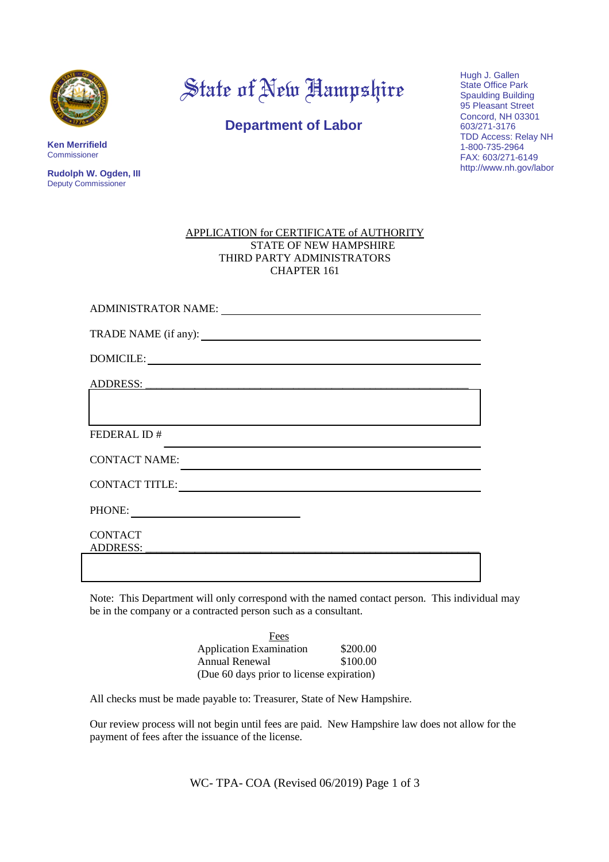

**Ken Merrifield** Commissioner

**Rudolph W. Ogden, III** Deputy Commissioner

State of New Hampshire

**Department of Labor**

Hugh J. Gallen State Office Park Spaulding Building 95 Pleasant Street Concord, NH 03301 603/271-3176 TDD Access: Relay NH 1-800-735-2964 FAX: 603/271-6149 http://www.nh.gov/labor

| APPLICATION for CERTIFICATE of AUTHORITY |
|------------------------------------------|
| STATE OF NEW HAMPSHIRE                   |
| THIRD PARTY ADMINISTRATORS               |
| CHAPTER 161                              |

| <b>ADMINISTRATOR NAME:</b>        |
|-----------------------------------|
|                                   |
|                                   |
| <b>ADDRESS:</b>                   |
|                                   |
| FEDERAL ID #                      |
| <b>CONTACT NAME:</b>              |
| <b>CONTACT TITLE:</b>             |
| PHONE:                            |
| <b>CONTACT</b><br><b>ADDRESS:</b> |
|                                   |

Note: This Department will only correspond with the named contact person. This individual may be in the company or a contracted person such as a consultant.

| Fees                                      |          |
|-------------------------------------------|----------|
| <b>Application Examination</b>            | \$200.00 |
| Annual Renewal                            | \$100.00 |
| (Due 60 days prior to license expiration) |          |

All checks must be made payable to: Treasurer, State of New Hampshire.

Our review process will not begin until fees are paid. New Hampshire law does not allow for the payment of fees after the issuance of the license.

WC- TPA- COA (Revised 06/2019) Page 1 of 3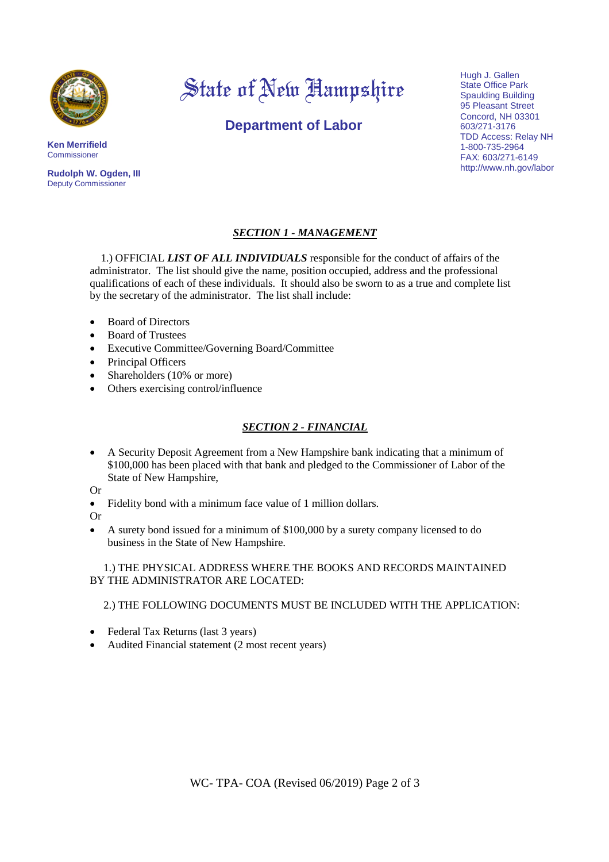

# State of New Hampshire

**Department of Labor**

Hugh J. Gallen State Office Park Spaulding Building 95 Pleasant Street Concord, NH 03301 603/271-3176 TDD Access: Relay NH 1-800-735-2964 FAX: 603/271-6149 http://www.nh.gov/labor

**Commissioner Rudolph W. Ogden, III** Deputy Commissioner

**Ken Merrifield**

### *SECTION 1 - MANAGEMENT*

1.) OFFICIAL *LIST OF ALL INDIVIDUALS* responsible for the conduct of affairs of the administrator. The list should give the name, position occupied, address and the professional qualifications of each of these individuals. It should also be sworn to as a true and complete list by the secretary of the administrator. The list shall include:

- Board of Directors
- Board of Trustees
- Executive Committee/Governing Board/Committee
- Principal Officers
- Shareholders (10% or more)
- Others exercising control/influence

#### *SECTION 2 - FINANCIAL*

 A Security Deposit Agreement from a New Hampshire bank indicating that a minimum of \$100,000 has been placed with that bank and pledged to the Commissioner of Labor of the State of New Hampshire,

Or

- Fidelity bond with a minimum face value of 1 million dollars.
- Or
- A surety bond issued for a minimum of \$100,000 by a surety company licensed to do business in the State of New Hampshire.

1.) THE PHYSICAL ADDRESS WHERE THE BOOKS AND RECORDS MAINTAINED BY THE ADMINISTRATOR ARE LOCATED:

2.) THE FOLLOWING DOCUMENTS MUST BE INCLUDED WITH THE APPLICATION:

- Federal Tax Returns (last 3 years)
- Audited Financial statement (2 most recent years)